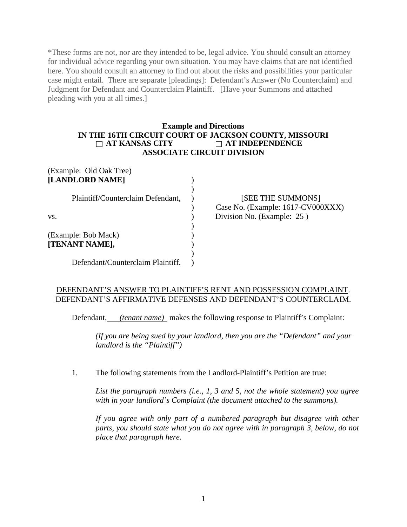\*These forms are not, nor are they intended to be, legal advice. You should consult an attorney for individual advice regarding your own situation. You may have claims that are not identified here. You should consult an attorney to find out about the risks and possibilities your particular case might entail. There are separate [pleadings]: Defendant's Answer (No Counterclaim) and Judgment for Defendant and Counterclaim Plaintiff. [Have your Summons and attached pleading with you at all times.]

## **Example and Directions IN THE 16TH CIRCUIT COURT OF JACKSON COUNTY, MISSOURI**<br>  $\Box$  AT KANSAS CITY  $\Box$  AT INDEPENDENCE **AT KANSAS CITY AT INDEPENDENCE ASSOCIATE CIRCUIT DIVISION**

| (Example: Old Oak Tree)           |                                                        |
|-----------------------------------|--------------------------------------------------------|
| [LANDLORD NAME]                   |                                                        |
| Plaintiff/Counterclaim Defendant, | [SEE THE SUMMONS]<br>Case No. (Example: 1617-CV000XXX) |
| VS.                               | Division No. (Example: 25)                             |
|                                   |                                                        |
| (Example: Bob Mack)               |                                                        |
| [TENANT NAME],                    |                                                        |
|                                   |                                                        |
| Defendant/Counterclaim Plaintiff. |                                                        |

## DEFENDANT'S ANSWER TO PLAINTIFF'S RENT AND POSSESSION COMPLAINT. DEFENDANT'S AFFIRMATIVE DEFENSES AND DEFENDANT'S COUNTERCLAIM.

Defendant, *(tenant name)* makes the following response to Plaintiff's Complaint:

*(If you are being sued by your landlord, then you are the "Defendant" and your landlord is the "Plaintiff")*

1. The following statements from the Landlord-Plaintiff's Petition are true:

*List the paragraph numbers (i.e., 1, 3 and 5, not the whole statement) you agree with in your landlord's Complaint (the document attached to the summons).*

*If you agree with only part of a numbered paragraph but disagree with other parts, you should state what you do not agree with in paragraph 3, below, do not place that paragraph here.*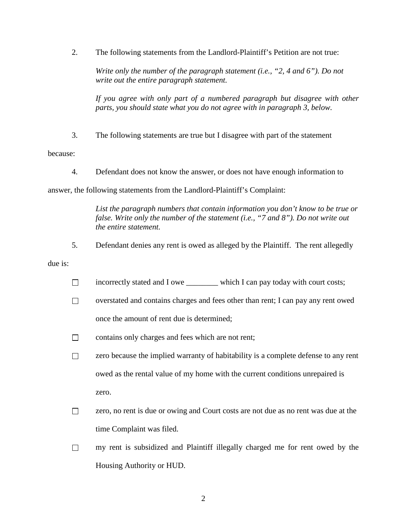2. The following statements from the Landlord-Plaintiff's Petition are not true:

*Write only the number of the paragraph statement (i.e., "2, 4 and 6"). Do not write out the entire paragraph statement.*

*If you agree with only part of a numbered paragraph but disagree with other parts, you should state what you do not agree with in paragraph 3, below.*

3. The following statements are true but I disagree with part of the statement

because:

4. Defendant does not know the answer, or does not have enough information to

answer, the following statements from the Landlord-Plaintiff's Complaint:

*List the paragraph numbers that contain information you don't know to be true or false. Write only the number of the statement (i.e., "7 and 8"). Do not write out the entire statement.*

5. Defendant denies any rent is owed as alleged by the Plaintiff. The rent allegedly

due is:

- incorrectly stated and I owe which I can pay today with court costs;  $\Box$
- $\Box$ overstated and contains charges and fees other than rent; I can pay any rent owed once the amount of rent due is determined;
- $\Box$ contains only charges and fees which are not rent;

 $\Box$ zero because the implied warranty of habitability is a complete defense to any rent owed as the rental value of my home with the current conditions unrepaired is zero.

- $\Box$ zero, no rent is due or owing and Court costs are not due as no rent was due at the time Complaint was filed.
- $\Box$  my rent is subsidized and Plaintiff illegally charged me for rent owed by the Housing Authority or HUD.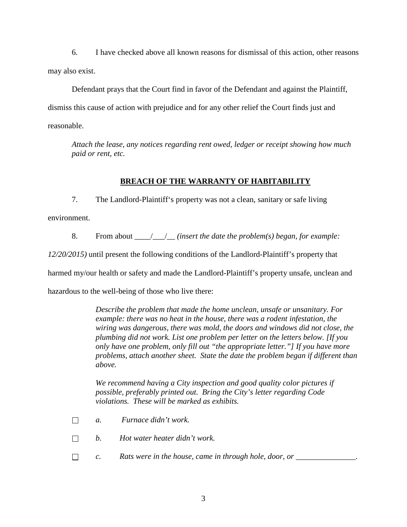6. I have checked above all known reasons for dismissal of this action, other reasons may also exist.

Defendant prays that the Court find in favor of the Defendant and against the Plaintiff, dismiss this cause of action with prejudice and for any other relief the Court finds just and reasonable.

*Attach the lease, any notices regarding rent owed, ledger or receipt showing how much paid or rent, etc.*

# **BREACH OF THE WARRANTY OF HABITABILITY**

7. The Landlord-Plaintiff's property was not a clean, sanitary or safe living

environment.

8. From about \_\_\_\_/\_\_\_/\_\_ *(insert the date the problem(s) began, for example:* 

*12/20/2015)* until present the following conditions of the Landlord-Plaintiff's property that

harmed my/our health or safety and made the Landlord-Plaintiff's property unsafe, unclean and

hazardous to the well-being of those who live there:

*Describe the problem that made the home unclean, unsafe or unsanitary. For example: there was no heat in the house, there was a rodent infestation, the wiring was dangerous, there was mold, the doors and windows did not close, the plumbing did not work. List one problem per letter on the letters below. [If you only have one problem, only fill out "the appropriate letter."] If you have more problems, attach another sheet. State the date the problem began if different than above.*

*We recommend having a City inspection and good quality color pictures if possible, preferably printed out. Bring the City's letter regarding Code violations. These will be marked as exhibits.*

- *a. Furnace didn't work.*  $\Box$
- *b. Hot water heater didn't work.*  $\Box$
- $\Box$ *c. Rats were in the house, came in through hole, door, or \_\_\_\_\_\_\_\_\_\_\_\_\_\_\_.*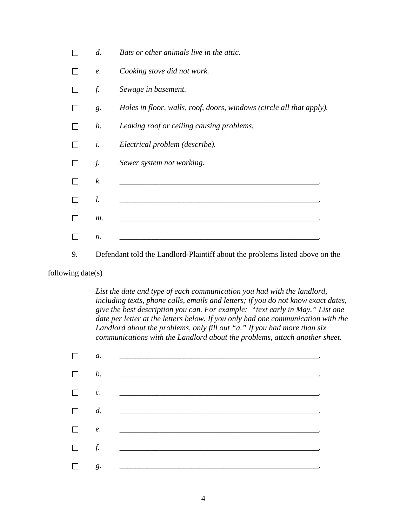| d.          | Bats or other animals live in the attic.                             |
|-------------|----------------------------------------------------------------------|
| е.          | Cooking stove did not work.                                          |
| f.          | Sewage in basement.                                                  |
| g.          | Holes in floor, walls, roof, doors, windows (circle all that apply). |
| $h$ .       | Leaking roof or ceiling causing problems.                            |
| i.          | Electrical problem (describe).                                       |
| j.          | Sewer system not working.                                            |
| $k_{\cdot}$ |                                                                      |
| l.          |                                                                      |
| m.          |                                                                      |
| n.          |                                                                      |
|             |                                                                      |

9. Defendant told the Landlord-Plaintiff about the problems listed above on the

following date(s)

*List the date and type of each communication you had with the landlord, including texts, phone calls, emails and letters; if you do not know exact dates, give the best description you can. For example: "text early in May." List one date per letter at the letters below. If you only had one communication with the Landlord about the problems, only fill out "a." If you had more than six communications with the Landlord about the problems, attach another sheet.*

| $\Box$ | $a$ .           |                                               |
|--------|-----------------|-----------------------------------------------|
| $\Box$ |                 | $\mathbf{b}$ .                                |
| $\Box$ | $\mathcal{C}$ . |                                               |
| $\Box$ |                 |                                               |
| $\Box$ |                 |                                               |
| $\Box$ | f.              |                                               |
| $\Box$ | g.              | <u> 1980 - Andrea Andrew Maria (h. 1980).</u> |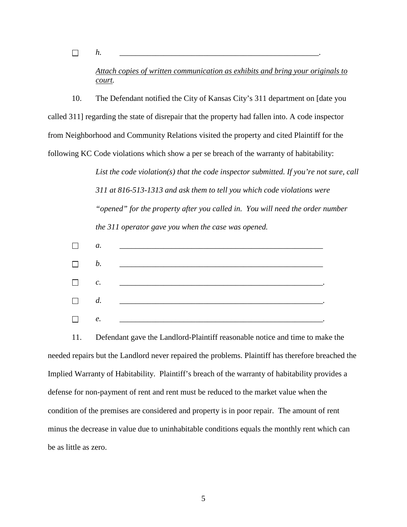$\Box$ 

*Attach copies of written communication as exhibits and bring your originals to court.*

*h. \_\_\_\_\_\_\_\_\_\_\_\_\_\_\_\_\_\_\_\_\_\_\_\_\_\_\_\_\_\_\_\_\_\_\_\_\_\_\_\_\_\_\_\_\_\_\_\_\_\_.*

10. The Defendant notified the City of Kansas City's 311 department on [date you called 311] regarding the state of disrepair that the property had fallen into. A code inspector from Neighborhood and Community Relations visited the property and cited Plaintiff for the following KC Code violations which show a per se breach of the warranty of habitability:

> *List the code violation(s) that the code inspector submitted. If you're not sure, call 311 at 816-513-1313 and ask them to tell you which code violations were "opened" for the property after you called in. You will need the order number the 311 operator gave you when the case was opened.*

|        |       | $\Box$ a. $\Box$ |
|--------|-------|------------------|
|        |       | $\Box$ b. $\Box$ |
|        |       | $\Box$ c. $\Box$ |
|        |       | $\Box$ d. $\Box$ |
| $\Box$ | $e$ . |                  |

11. Defendant gave the Landlord-Plaintiff reasonable notice and time to make the needed repairs but the Landlord never repaired the problems. Plaintiff has therefore breached the Implied Warranty of Habitability. Plaintiff's breach of the warranty of habitability provides a defense for non-payment of rent and rent must be reduced to the market value when the condition of the premises are considered and property is in poor repair. The amount of rent minus the decrease in value due to uninhabitable conditions equals the monthly rent which can be as little as zero.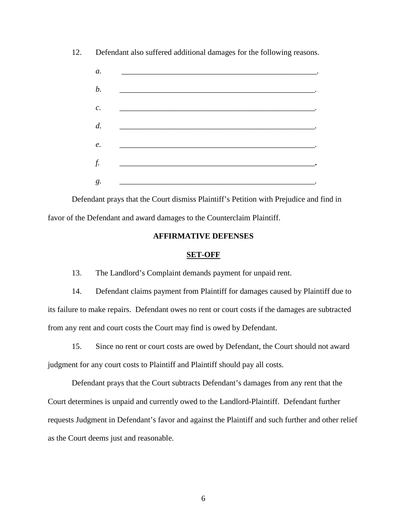12. Defendant also suffered additional damages for the following reasons.



Defendant prays that the Court dismiss Plaintiff's Petition with Prejudice and find in favor of the Defendant and award damages to the Counterclaim Plaintiff.

### **AFFIRMATIVE DEFENSES**

#### **SET-OFF**

13. The Landlord's Complaint demands payment for unpaid rent.

14. Defendant claims payment from Plaintiff for damages caused by Plaintiff due to its failure to make repairs. Defendant owes no rent or court costs if the damages are subtracted from any rent and court costs the Court may find is owed by Defendant.

15. Since no rent or court costs are owed by Defendant, the Court should not award judgment for any court costs to Plaintiff and Plaintiff should pay all costs.

Defendant prays that the Court subtracts Defendant's damages from any rent that the Court determines is unpaid and currently owed to the Landlord-Plaintiff. Defendant further requests Judgment in Defendant's favor and against the Plaintiff and such further and other relief as the Court deems just and reasonable.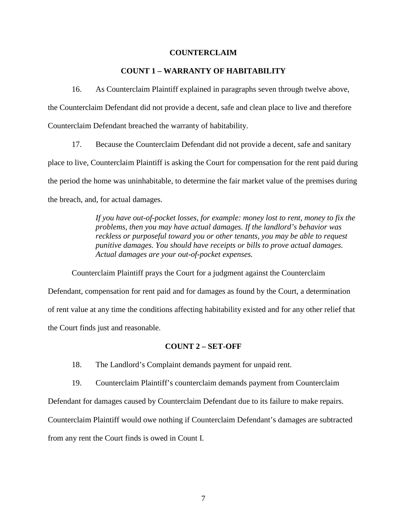#### **COUNTERCLAIM**

### **COUNT 1 – WARRANTY OF HABITABILITY**

16. As Counterclaim Plaintiff explained in paragraphs seven through twelve above, the Counterclaim Defendant did not provide a decent, safe and clean place to live and therefore Counterclaim Defendant breached the warranty of habitability.

17. Because the Counterclaim Defendant did not provide a decent, safe and sanitary place to live, Counterclaim Plaintiff is asking the Court for compensation for the rent paid during the period the home was uninhabitable, to determine the fair market value of the premises during the breach, and, for actual damages.

> *If you have out-of-pocket losses, for example: money lost to rent, money to fix the problems, then you may have actual damages. If the landlord's behavior was reckless or purposeful toward you or other tenants, you may be able to request punitive damages. You should have receipts or bills to prove actual damages. Actual damages are your out-of-pocket expenses.*

Counterclaim Plaintiff prays the Court for a judgment against the Counterclaim Defendant, compensation for rent paid and for damages as found by the Court, a determination of rent value at any time the conditions affecting habitability existed and for any other relief that the Court finds just and reasonable.

#### **COUNT 2 – SET-OFF**

18. The Landlord's Complaint demands payment for unpaid rent.

19. Counterclaim Plaintiff's counterclaim demands payment from Counterclaim

Defendant for damages caused by Counterclaim Defendant due to its failure to make repairs.

Counterclaim Plaintiff would owe nothing if Counterclaim Defendant's damages are subtracted

from any rent the Court finds is owed in Count I.

7